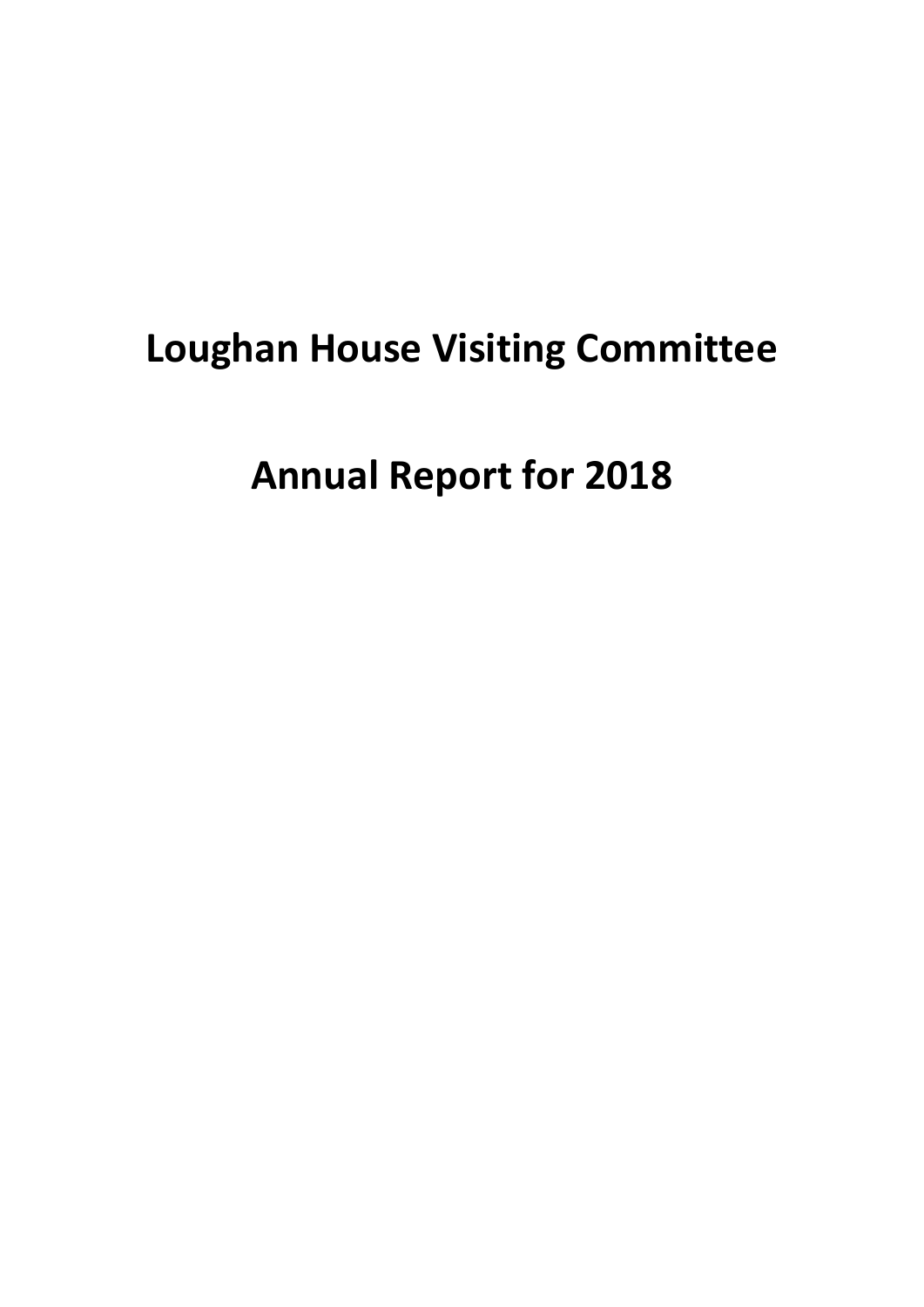# **Loughan House Visiting Committee**

**Annual Report for 2018**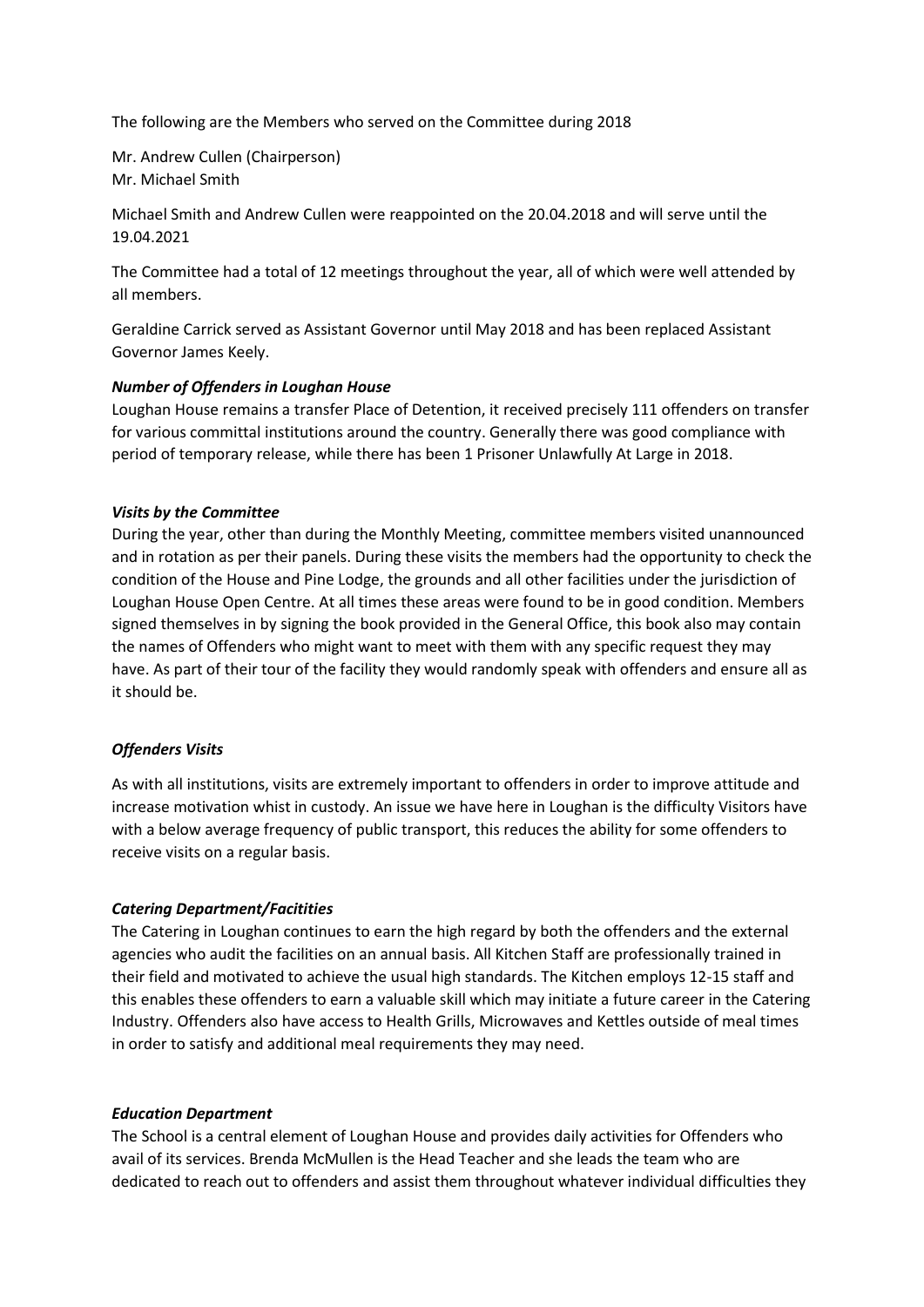The following are the Members who served on the Committee during 2018

Mr. Andrew Cullen (Chairperson) Mr. Michael Smith

Michael Smith and Andrew Cullen were reappointed on the 20.04.2018 and will serve until the 19.04.2021

The Committee had a total of 12 meetings throughout the year, all of which were well attended by all members.

Geraldine Carrick served as Assistant Governor until May 2018 and has been replaced Assistant Governor James Keely.

# *Number of Offenders in Loughan House*

Loughan House remains a transfer Place of Detention, it received precisely 111 offenders on transfer for various committal institutions around the country. Generally there was good compliance with period of temporary release, while there has been 1 Prisoner Unlawfully At Large in 2018.

## *Visits by the Committee*

During the year, other than during the Monthly Meeting, committee members visited unannounced and in rotation as per their panels. During these visits the members had the opportunity to check the condition of the House and Pine Lodge, the grounds and all other facilities under the jurisdiction of Loughan House Open Centre. At all times these areas were found to be in good condition. Members signed themselves in by signing the book provided in the General Office, this book also may contain the names of Offenders who might want to meet with them with any specific request they may have. As part of their tour of the facility they would randomly speak with offenders and ensure all as it should be.

# *Offenders Visits*

As with all institutions, visits are extremely important to offenders in order to improve attitude and increase motivation whist in custody. An issue we have here in Loughan is the difficulty Visitors have with a below average frequency of public transport, this reduces the ability for some offenders to receive visits on a regular basis.

# *Catering Department/Facitities*

The Catering in Loughan continues to earn the high regard by both the offenders and the external agencies who audit the facilities on an annual basis. All Kitchen Staff are professionally trained in their field and motivated to achieve the usual high standards. The Kitchen employs 12-15 staff and this enables these offenders to earn a valuable skill which may initiate a future career in the Catering Industry. Offenders also have access to Health Grills, Microwaves and Kettles outside of meal times in order to satisfy and additional meal requirements they may need.

#### *Education Department*

The School is a central element of Loughan House and provides daily activities for Offenders who avail of its services. Brenda McMullen is the Head Teacher and she leads the team who are dedicated to reach out to offenders and assist them throughout whatever individual difficulties they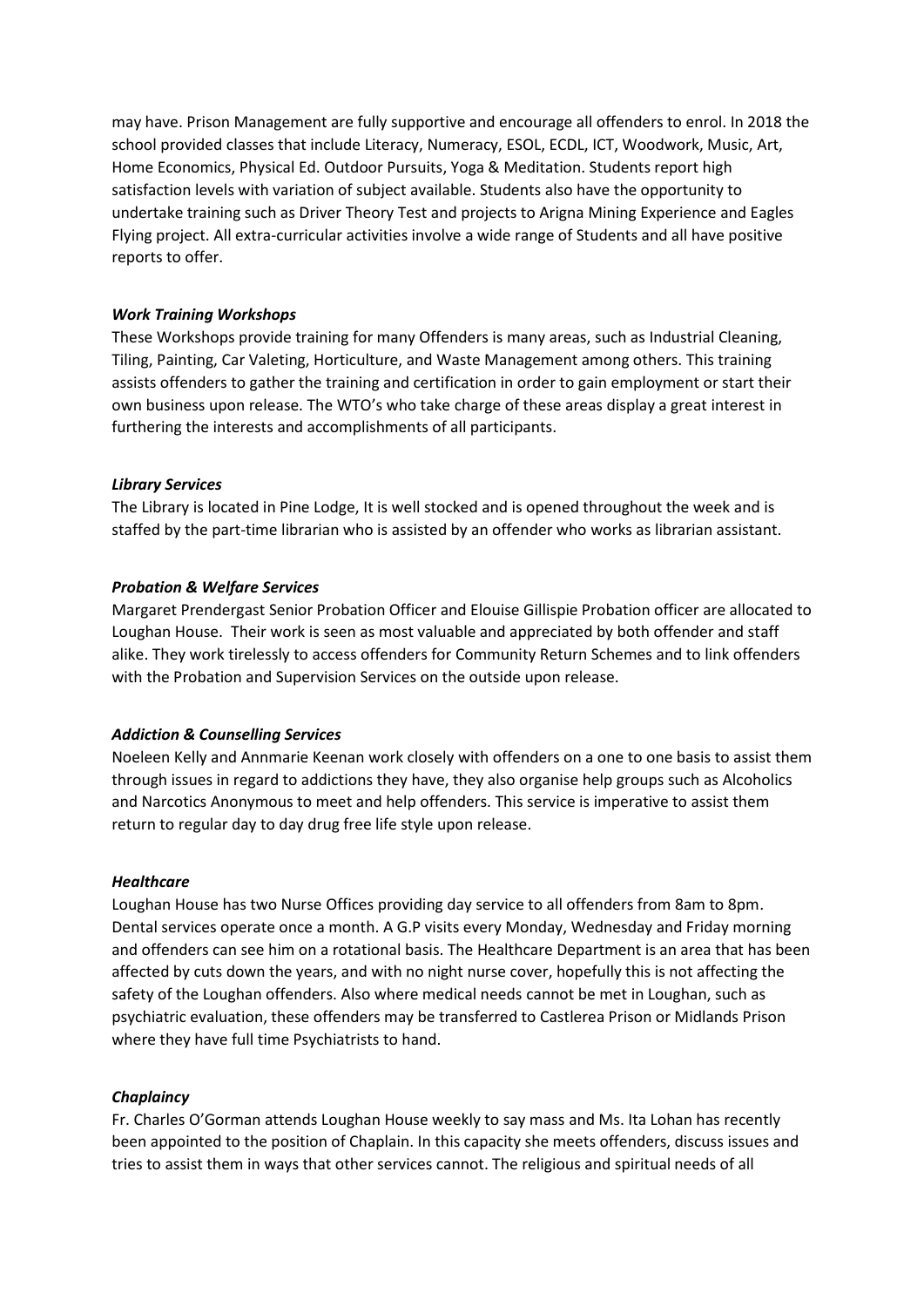may have. Prison Management are fully supportive and encourage all offenders to enrol. In 2018 the school provided classes that include Literacy, Numeracy, ESOL, ECDL, ICT, Woodwork, Music, Art, Home Economics, Physical Ed. Outdoor Pursuits, Yoga & Meditation. Students report high satisfaction levels with variation of subject available. Students also have the opportunity to undertake training such as Driver Theory Test and projects to Arigna Mining Experience and Eagles Flying project. All extra-curricular activities involve a wide range of Students and all have positive reports to offer.

## *Work Training Workshops*

These Workshops provide training for many Offenders is many areas, such as Industrial Cleaning, Tiling, Painting, Car Valeting, Horticulture, and Waste Management among others. This training assists offenders to gather the training and certification in order to gain employment or start their own business upon release. The WTO's who take charge of these areas display a great interest in furthering the interests and accomplishments of all participants.

## *Library Services*

The Library is located in Pine Lodge, It is well stocked and is opened throughout the week and is staffed by the part-time librarian who is assisted by an offender who works as librarian assistant.

## *Probation & Welfare Services*

Margaret Prendergast Senior Probation Officer and Elouise Gillispie Probation officer are allocated to Loughan House. Their work is seen as most valuable and appreciated by both offender and staff alike. They work tirelessly to access offenders for Community Return Schemes and to link offenders with the Probation and Supervision Services on the outside upon release.

#### *Addiction & Counselling Services*

Noeleen Kelly and Annmarie Keenan work closely with offenders on a one to one basis to assist them through issues in regard to addictions they have, they also organise help groups such as Alcoholics and Narcotics Anonymous to meet and help offenders. This service is imperative to assist them return to regular day to day drug free life style upon release.

#### *Healthcare*

Loughan House has two Nurse Offices providing day service to all offenders from 8am to 8pm. Dental services operate once a month. A G.P visits every Monday, Wednesday and Friday morning and offenders can see him on a rotational basis. The Healthcare Department is an area that has been affected by cuts down the years, and with no night nurse cover, hopefully this is not affecting the safety of the Loughan offenders. Also where medical needs cannot be met in Loughan, such as psychiatric evaluation, these offenders may be transferred to Castlerea Prison or Midlands Prison where they have full time Psychiatrists to hand.

#### *Chaplaincy*

Fr. Charles O'Gorman attends Loughan House weekly to say mass and Ms. Ita Lohan has recently been appointed to the position of Chaplain. In this capacity she meets offenders, discuss issues and tries to assist them in ways that other services cannot. The religious and spiritual needs of all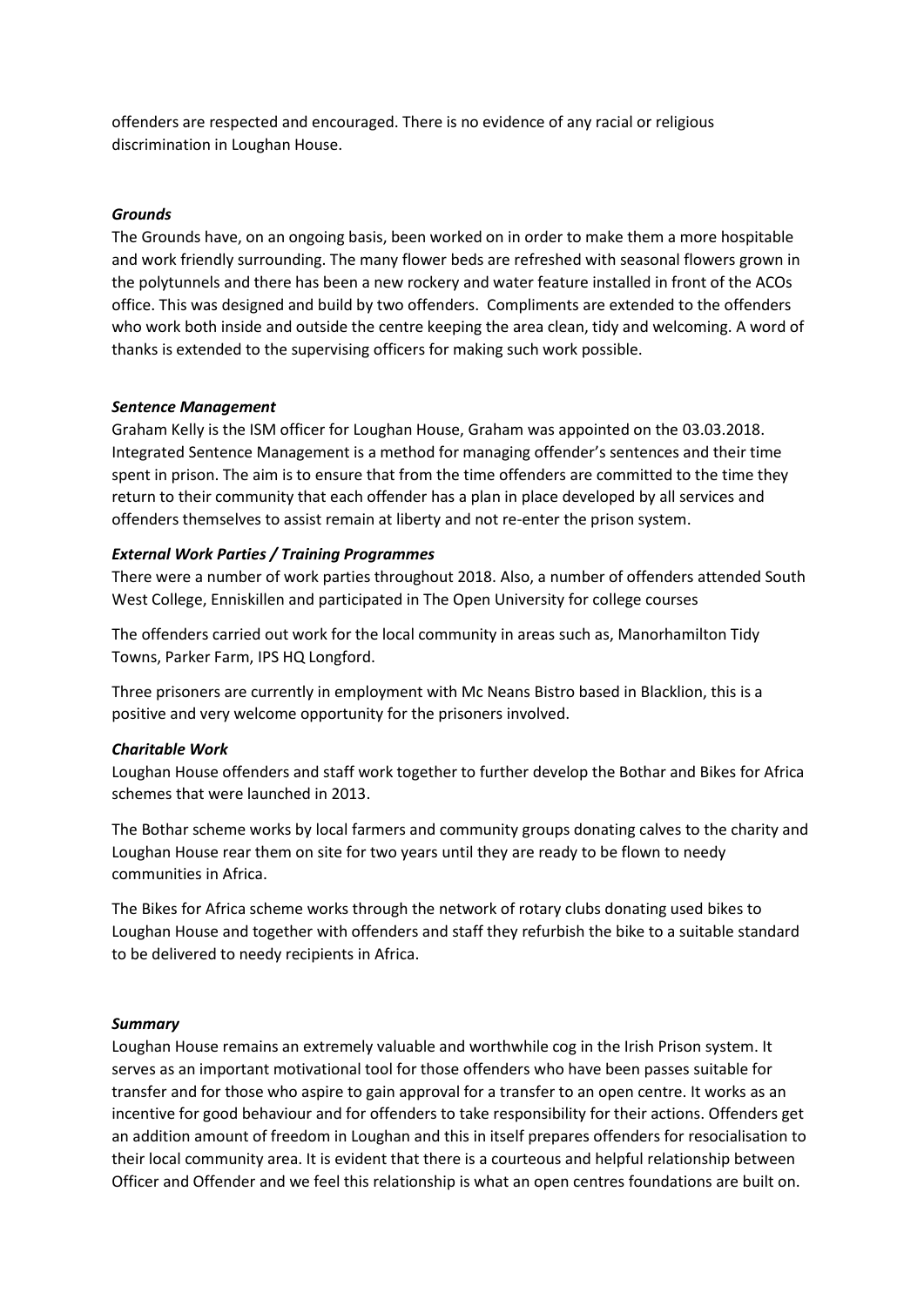offenders are respected and encouraged. There is no evidence of any racial or religious discrimination in Loughan House.

## *Grounds*

The Grounds have, on an ongoing basis, been worked on in order to make them a more hospitable and work friendly surrounding. The many flower beds are refreshed with seasonal flowers grown in the polytunnels and there has been a new rockery and water feature installed in front of the ACOs office. This was designed and build by two offenders. Compliments are extended to the offenders who work both inside and outside the centre keeping the area clean, tidy and welcoming. A word of thanks is extended to the supervising officers for making such work possible.

#### *Sentence Management*

Graham Kelly is the ISM officer for Loughan House, Graham was appointed on the 03.03.2018. Integrated Sentence Management is a method for managing offender's sentences and their time spent in prison. The aim is to ensure that from the time offenders are committed to the time they return to their community that each offender has a plan in place developed by all services and offenders themselves to assist remain at liberty and not re-enter the prison system.

#### *External Work Parties / Training Programmes*

There were a number of work parties throughout 2018. Also, a number of offenders attended South West College, Enniskillen and participated in The Open University for college courses

The offenders carried out work for the local community in areas such as, Manorhamilton Tidy Towns, Parker Farm, IPS HQ Longford.

Three prisoners are currently in employment with Mc Neans Bistro based in Blacklion, this is a positive and very welcome opportunity for the prisoners involved.

#### *Charitable Work*

Loughan House offenders and staff work together to further develop the Bothar and Bikes for Africa schemes that were launched in 2013.

The Bothar scheme works by local farmers and community groups donating calves to the charity and Loughan House rear them on site for two years until they are ready to be flown to needy communities in Africa.

The Bikes for Africa scheme works through the network of rotary clubs donating used bikes to Loughan House and together with offenders and staff they refurbish the bike to a suitable standard to be delivered to needy recipients in Africa.

#### *Summary*

Loughan House remains an extremely valuable and worthwhile cog in the Irish Prison system. It serves as an important motivational tool for those offenders who have been passes suitable for transfer and for those who aspire to gain approval for a transfer to an open centre. It works as an incentive for good behaviour and for offenders to take responsibility for their actions. Offenders get an addition amount of freedom in Loughan and this in itself prepares offenders for resocialisation to their local community area. It is evident that there is a courteous and helpful relationship between Officer and Offender and we feel this relationship is what an open centres foundations are built on.